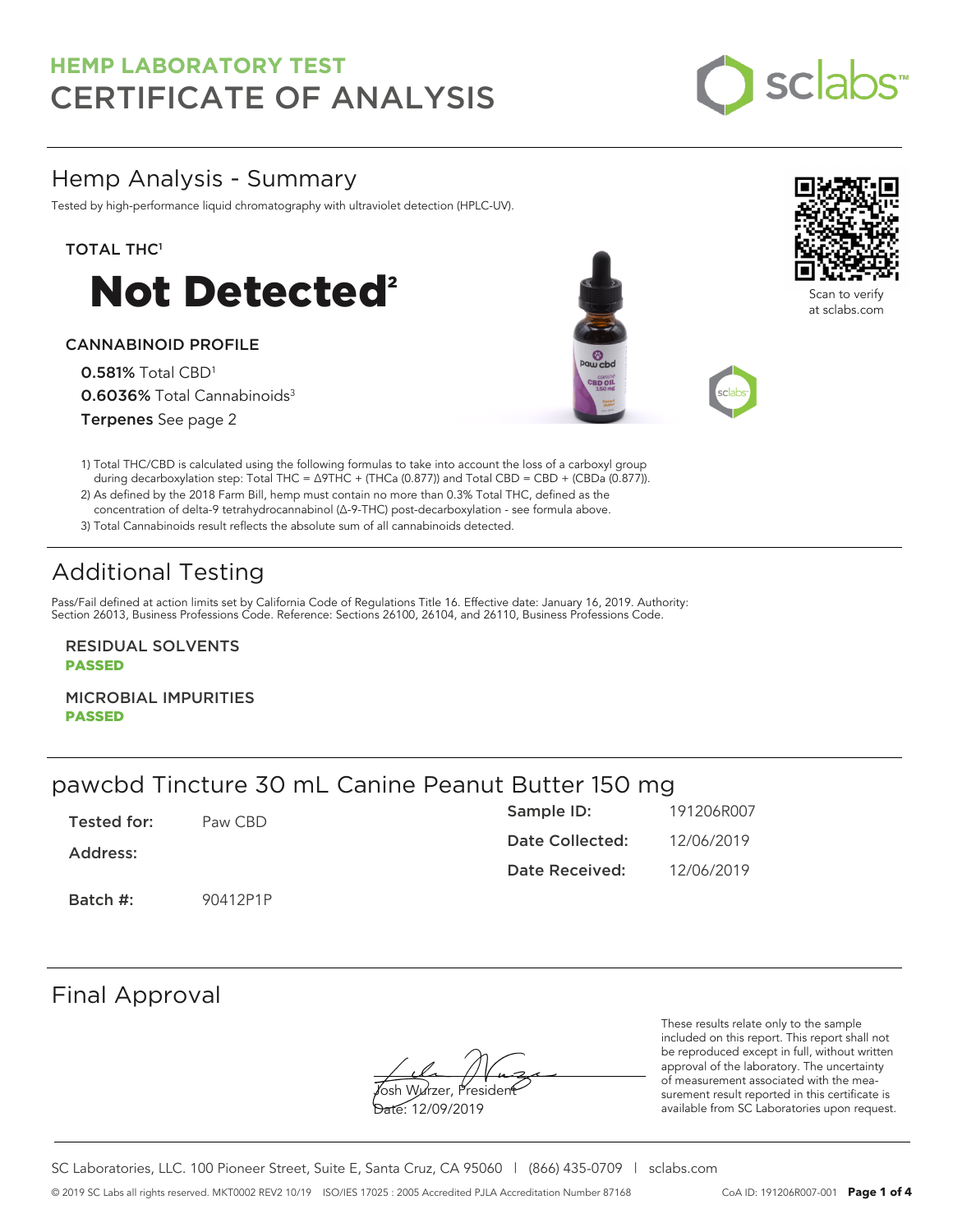

# Hemp Analysis - Summary

Tested by high-performance liquid chromatography with ultraviolet detection (HPLC-UV).

### TOTAL THC<sup>1</sup>



### CANNABINOID PROFILE

0.581% Total CBD<sup>1</sup> 0.6036% Total Cannabinoids<sup>3</sup> Terpenes See page 2





Scan to verify at sclabs.com

1) Total THC/CBD is calculated using the following formulas to take into account the loss of a carboxyl group during decarboxylation step: Total THC = ∆9THC + (THCa (0.877)) and Total CBD = CBD + (CBDa (0.877)).

2) As defined by the 2018 Farm Bill, hemp must contain no more than 0.3% Total THC, defined as the concentration of delta-9 tetrahydrocannabinol (Δ-9-THC) post-decarboxylation - see formula above.

3) Total Cannabinoids result reflects the absolute sum of all cannabinoids detected.

# Additional Testing

Pass/Fail defined at action limits set by California Code of Regulations Title 16. Effective date: January 16, 2019. Authority: Section 26013, Business Professions Code. Reference: Sections 26100, 26104, and 26110, Business Professions Code.

RESIDUAL SOLVENTS PASSED

MICROBIAL IMPURITIES PASSED

# pawcbd Tincture 30 mL Canine Peanut Butter 150 mg

| Tested for: | Paw CBD  | Sample ID:      | 191206R007 |
|-------------|----------|-----------------|------------|
| Address:    |          | Date Collected: | 12/06/2019 |
|             |          | Date Received:  | 12/06/2019 |
| Batch #:    | 90412P1P |                 |            |

### Final Approval

**J**osh Wurzer, Presiden<del>t</del>

Date: 12/09/2019

These results relate only to the sample included on this report. This report shall not be reproduced except in full, without written approval of the laboratory. The uncertainty of measurement associated with the measurement result reported in this certificate is available from SC Laboratories upon request.

SC Laboratories, LLC. 100 Pioneer Street, Suite E, Santa Cruz, CA 95060 | (866) 435-0709 | sclabs.com © 2019 SC Labs all rights reserved. MKT0002 REV2 10/19 ISO/IES 17025 : 2005 Accredited PJLA Accreditation Number 87168 CoA ID: 191206R007-001 **Page 1 of 4**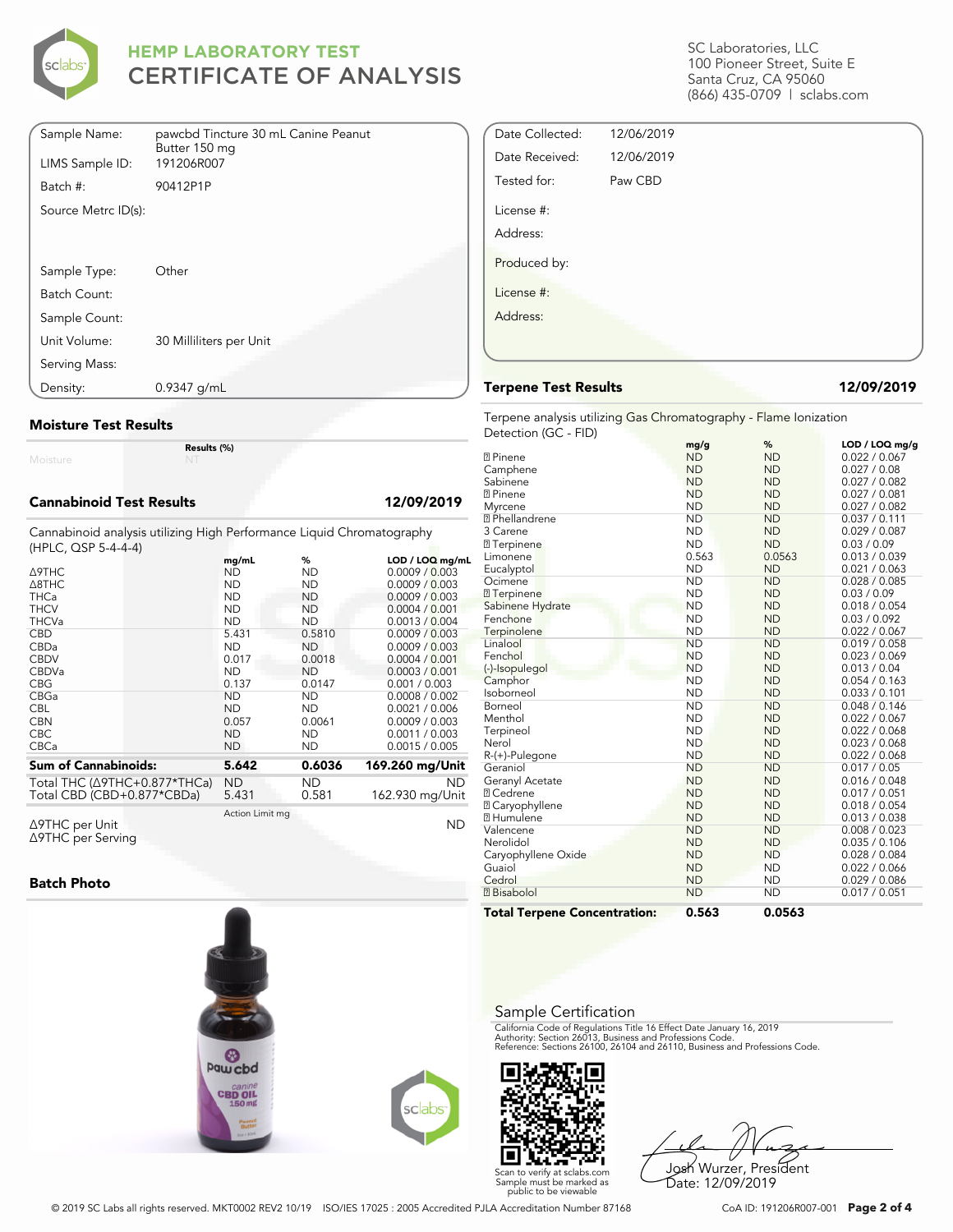

| Sample Name:        | pawcbd Tincture 30 mL Canine Peanut<br>Butter 150 mg |
|---------------------|------------------------------------------------------|
| LIMS Sample ID:     | 191206R007                                           |
| Batch #:            | 90412P1P                                             |
| Source Metrc ID(s): |                                                      |
|                     |                                                      |
|                     |                                                      |
| Sample Type:        | Other                                                |
| Batch Count:        |                                                      |
| Sample Count:       |                                                      |
| Unit Volume:        | 30 Milliliters per Unit                              |
| Serving Mass:       |                                                      |
| Density:            | 0.9347 g/mL                                          |

### **Moisture Test Results**

Moisture

#### **Cannabinoid Test Results 12/09/2019**

Cannabinoid analysis utilizing High Performance Liquid Chromatography (HPLC, QSP 5-4-4-4)

**Results (%)**

| $(111 - 20)$ , where $-17$                                 | mg/mL              | %            | LOD / LOQ mg/mL              |
|------------------------------------------------------------|--------------------|--------------|------------------------------|
| <b>A9THC</b>                                               | <b>ND</b>          | ND           | 0.0009 / 0.003               |
| $\triangle$ 8THC                                           | <b>ND</b>          | <b>ND</b>    | 0.0009 / 0.003               |
| <b>THCa</b>                                                | <b>ND</b>          | <b>ND</b>    | 0.0009 / 0.003               |
| <b>THCV</b>                                                | <b>ND</b>          | <b>ND</b>    | 0.0004 / 0.001               |
| <b>THCVa</b>                                               | <b>ND</b>          | <b>ND</b>    | 0.0013 / 0.004               |
| <b>CBD</b>                                                 | 5.431              | 0.5810       | 0.0009 / 0.003               |
| CBDa                                                       | <b>ND</b>          | <b>ND</b>    | 0.0009 / 0.003               |
| <b>CBDV</b>                                                | 0.017              | 0.0018       | 0.0004 / 0.001               |
| <b>CBDVa</b>                                               | <b>ND</b>          | <b>ND</b>    | 0.0003 / 0.001               |
| <b>CBG</b>                                                 | 0.137              | 0.0147       | 0.001 / 0.003                |
| CBGa                                                       | <b>ND</b>          | <b>ND</b>    | 0.0008 / 0.002               |
| <b>CBL</b>                                                 | <b>ND</b>          | <b>ND</b>    | 0.0021 / 0.006               |
| <b>CBN</b>                                                 | 0.057              | 0.0061       | 0.0009 / 0.003               |
| <b>CBC</b>                                                 | <b>ND</b>          | <b>ND</b>    | 0.0011 / 0.003               |
| <b>CBCa</b>                                                | <b>ND</b>          | <b>ND</b>    | 0.0015 / 0.005               |
| <b>Sum of Cannabinoids:</b>                                | 5.642              | 0.6036       | 169.260 mg/Unit              |
| Total THC (Δ9THC+0.877*THCa)<br>Total CBD (CBD+0.877*CBDa) | <b>ND</b><br>5.431 | ND.<br>0.581 | <b>ND</b><br>162.930 mg/Unit |
| $\triangle$ 9THC per Unit                                  | Action Limit mg    |              | <b>ND</b>                    |

Δ9THC per Unit Δ9THC per Serving

#### **Batch Photo**



SC Laboratories, LLC 100 Pioneer Street, Suite E Santa Cruz, CA 95060 (866) 435-0709 | sclabs.com

| Date Collected: | 12/06/2019 |  |
|-----------------|------------|--|
| Date Received:  | 12/06/2019 |  |
| Tested for:     | Paw CBD    |  |
| License #:      |            |  |
| Address:        |            |  |
| Produced by:    |            |  |
| License #:      |            |  |
| Address:        |            |  |
|                 |            |  |
|                 |            |  |

#### **Terpene Test Results 12/09/2019**

Terpene analysis utilizing Gas Chromatography - Flame Ionization Detection (GC - FID)

|                                     | mg/g      | %         | LOD / LOQ mg/g |
|-------------------------------------|-----------|-----------|----------------|
| <b>2</b> Pinene                     | <b>ND</b> | <b>ND</b> | 0.022 / 0.067  |
| Camphene                            | <b>ND</b> | <b>ND</b> | 0.027 / 0.08   |
| Sabinene                            | <b>ND</b> | <b>ND</b> | 0.027 / 0.082  |
| <b>2</b> Pinene                     | <b>ND</b> | <b>ND</b> | 0.027 / 0.081  |
| Myrcene                             | <b>ND</b> | <b>ND</b> | 0.027 / 0.082  |
| <b>7</b> Phellandrene               | <b>ND</b> | <b>ND</b> | 0.037 / 0.111  |
| 3 Carene                            | <b>ND</b> | <b>ND</b> | 0.029 / 0.087  |
| <b>7</b> Terpinene                  | <b>ND</b> | <b>ND</b> | 0.03 / 0.09    |
| Limonene                            | 0.563     | 0.0563    | 0.013 / 0.039  |
| Eucalyptol                          | <b>ND</b> | <b>ND</b> | 0.021 / 0.063  |
| Ocimene                             | <b>ND</b> | <b>ND</b> | 0.028 / 0.085  |
| <b>7</b> Terpinene                  | <b>ND</b> | <b>ND</b> | 0.03 / 0.09    |
| Sabinene Hydrate                    | <b>ND</b> | <b>ND</b> | 0.018 / 0.054  |
| Fenchone                            | <b>ND</b> | <b>ND</b> | 0.03 / 0.092   |
| Terpinolene                         | <b>ND</b> | <b>ND</b> | 0.022 / 0.067  |
| Linalool                            | <b>ND</b> | <b>ND</b> | 0.019 / 0.058  |
| Fenchol                             | <b>ND</b> | <b>ND</b> | 0.023 / 0.069  |
| (-)-Isopulegol                      | <b>ND</b> | <b>ND</b> | 0.013 / 0.04   |
| Camphor                             | <b>ND</b> | <b>ND</b> | 0.054 / 0.163  |
| Isoborneol                          | <b>ND</b> | <b>ND</b> | 0.033 / 0.101  |
| Borneol                             | <b>ND</b> | <b>ND</b> | 0.048 / 0.146  |
| Menthol                             | <b>ND</b> | <b>ND</b> | 0.022 / 0.067  |
| Terpineol                           | <b>ND</b> | <b>ND</b> | 0.022 / 0.068  |
| Nerol                               | <b>ND</b> | <b>ND</b> | 0.023 / 0.068  |
| R-(+)-Pulegone                      | <b>ND</b> | <b>ND</b> | 0.022 / 0.068  |
| Geraniol                            | <b>ND</b> | <b>ND</b> | 0.017 / 0.05   |
| Geranyl Acetate                     | <b>ND</b> | <b>ND</b> | 0.016 / 0.048  |
| <b>7 Cedrene</b>                    | <b>ND</b> | <b>ND</b> | 0.017 / 0.051  |
| ⊠ Caryophyllene                     | <b>ND</b> | <b>ND</b> | 0.018 / 0.054  |
| <b>7 Humulene</b>                   | <b>ND</b> | <b>ND</b> | 0.013 / 0.038  |
| Valencene                           | <b>ND</b> | <b>ND</b> | 0.008 / 0.023  |
| Nerolidol                           | <b>ND</b> | <b>ND</b> | 0.035 / 0.106  |
| Caryophyllene Oxide                 | <b>ND</b> | <b>ND</b> | 0.028 / 0.084  |
| Guaiol                              | <b>ND</b> | <b>ND</b> | 0.022 / 0.066  |
| Cedrol                              | <b>ND</b> | <b>ND</b> | 0.029 / 0.086  |
| <b>7</b> Bisabolol                  | <b>ND</b> | <b>ND</b> | 0.017 / 0.051  |
| <b>Total Terpene Concentration:</b> | 0.563     | 0.0563    |                |

#### Sample Certification

California Code of Regulations Title 16 Effect Date January 16, 2019<br>Authority: Section 26013, Business and Professions Code.<br>Reference: Sections 26100, 26104 and 26110, Business and Professions Code.



Josh Wurzer, President Date: 12/09/2019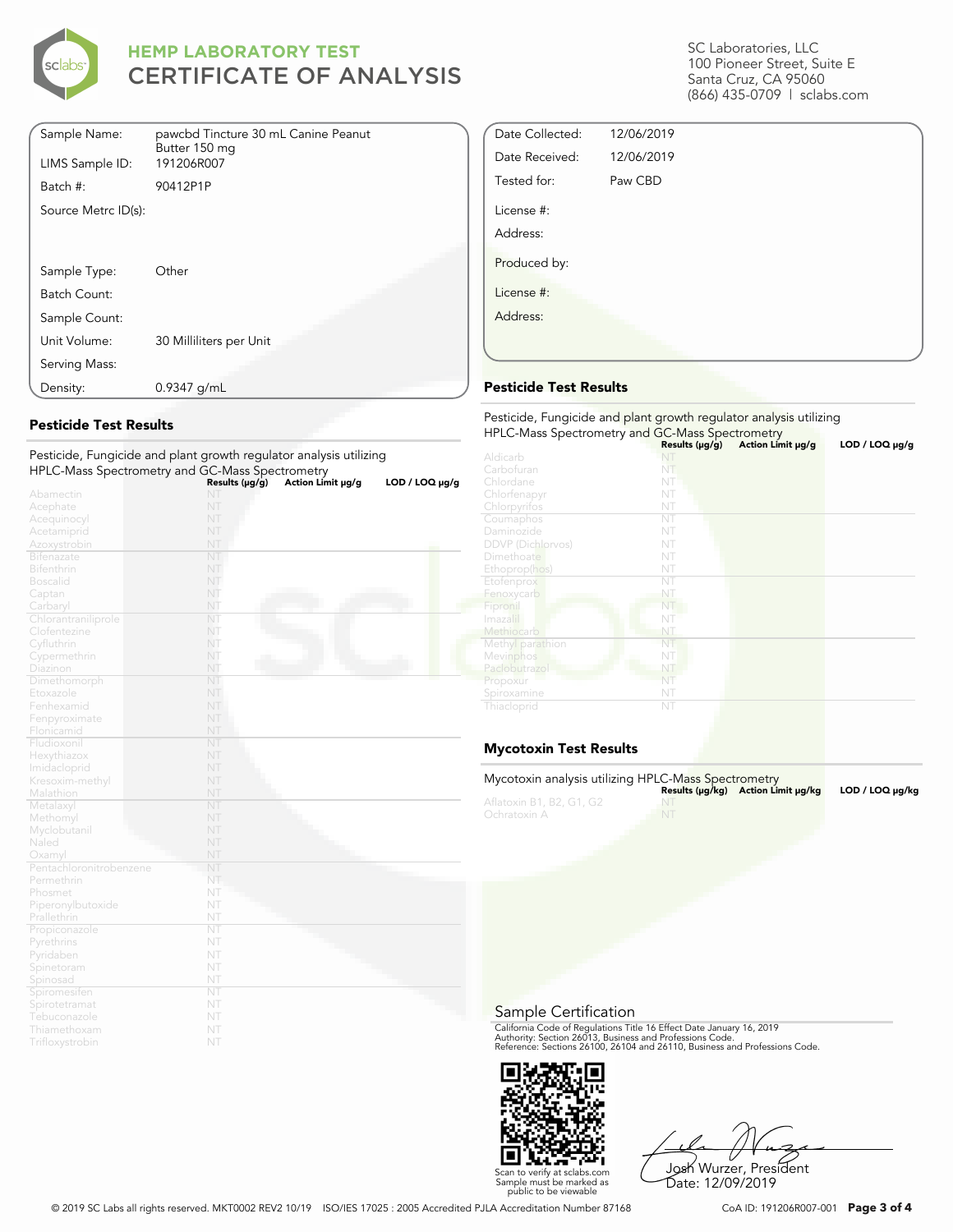

| Sample Name:        | pawcbd Tincture 30 mL Canine Peanut<br>Butter 150 mg |
|---------------------|------------------------------------------------------|
| LIMS Sample ID:     | 191206R007                                           |
| Batch #:            | 90412P1P                                             |
| Source Metrc ID(s): |                                                      |
|                     |                                                      |
|                     |                                                      |
| Sample Type:        | Other                                                |
| Batch Count:        |                                                      |
| Sample Count:       |                                                      |
| Unit Volume:        | 30 Milliliters per Unit                              |
| Serving Mass:       |                                                      |
| Density:            | $0.9347$ g/mL                                        |

### **Pesticide Test Results**

| HPLC-Mass Spectrometry and GC-Mass Spectrometry |                | Pesticide, Fungicide and plant growth regulator analysis utilizing |                |
|-------------------------------------------------|----------------|--------------------------------------------------------------------|----------------|
|                                                 | Results (µg/g) | Action Limit µg/g                                                  | LOD / LOQ µq/q |
| Abamectin                                       | NT             |                                                                    |                |
| Acephate                                        | NT             |                                                                    |                |
| Acequinocyl                                     | NT             |                                                                    |                |
| Acetamiprid                                     | NT             |                                                                    |                |
| Azoxystrobin                                    | NT             |                                                                    |                |
| <b>Bifenazate</b>                               | NT             |                                                                    |                |
| <b>Bifenthrin</b>                               | NT             |                                                                    |                |
| <b>Boscalid</b>                                 | NT             |                                                                    |                |
| Captan                                          | NT             |                                                                    |                |
| Carbaryl                                        | NT             |                                                                    |                |
| Chlorantraniliprole                             | NT             |                                                                    |                |
| Clofentezine                                    | NT             |                                                                    |                |
| Cyfluthrin                                      | NT             |                                                                    |                |
| Cypermethrin                                    | NT             |                                                                    |                |
| Diazinon                                        | NT             |                                                                    |                |
| Dimethomorph                                    | NT             |                                                                    |                |
| Etoxazole                                       | NT             |                                                                    |                |
| Fenhexamid                                      | NT             |                                                                    |                |
| Fenpyroximate                                   | NT             |                                                                    |                |
| Flonicamid                                      | NT             |                                                                    |                |
| Fludioxonil                                     | NT             |                                                                    |                |
| Hexythiazox                                     | NT             |                                                                    |                |
| Imidacloprid                                    | NT             |                                                                    |                |
| Kresoxim-methyl                                 | NT             |                                                                    |                |
| Malathion                                       | NT             |                                                                    |                |
| Metalaxyl                                       | NT             |                                                                    |                |
| Methomyl                                        | NT             |                                                                    |                |
| Myclobutanil                                    | NT             |                                                                    |                |
| Naled                                           | NT             |                                                                    |                |
| Oxamyl                                          | NT             |                                                                    |                |
| Pentachloronitrobenzene                         | NT             |                                                                    |                |
| Permethrin                                      | NT             |                                                                    |                |
| Phosmet                                         | NT             |                                                                    |                |
| Piperonylbutoxide                               | NT             |                                                                    |                |
| Prallethrin                                     | NT             |                                                                    |                |
| Propiconazole                                   | NT             |                                                                    |                |
| Pyrethrins                                      | NT             |                                                                    |                |
| Pyridaben                                       | NT             |                                                                    |                |
| Spinetoram                                      | NT             |                                                                    |                |
| Spinosad                                        | NT             |                                                                    |                |
| Spiromesifen                                    | NT             |                                                                    |                |
| Spirotetramat                                   | NT             |                                                                    |                |
| Tebuconazole                                    | NT             |                                                                    |                |
| Thiamethoxam                                    | NT             |                                                                    |                |
| Trifloxystrobin                                 | NT             |                                                                    |                |

SC Laboratories, LLC 100 Pioneer Street, Suite E Santa Cruz, CA 95060 (866) 435-0709 | sclabs.com

| Date Collected: | 12/06/2019 |  |
|-----------------|------------|--|
| Date Received:  | 12/06/2019 |  |
| Tested for:     | Paw CBD    |  |
| License #:      |            |  |
| Address:        |            |  |
| Produced by:    |            |  |
| License #:      |            |  |
| Address:        |            |  |
|                 |            |  |

### **Pesticide Test Results**

| Pesticide, Fungicide and plant growth regulator analysis utilizing<br>HPLC-Mass Spectrometry and GC-Mass Spectrometry |                     |                   |                     |  |  |
|-----------------------------------------------------------------------------------------------------------------------|---------------------|-------------------|---------------------|--|--|
|                                                                                                                       | Results $(\mu g/g)$ | Action Limit µg/g | LOD / LOQ $\mu$ g/g |  |  |
| Aldicarb                                                                                                              |                     |                   |                     |  |  |
| Carbofuran                                                                                                            | NT                  |                   |                     |  |  |
| Chlordane                                                                                                             | NT                  |                   |                     |  |  |
| Chlorfenapyr                                                                                                          | NT                  |                   |                     |  |  |
| Chlorpyrifos                                                                                                          | NT                  |                   |                     |  |  |
| Coumaphos                                                                                                             | NT                  |                   |                     |  |  |
| Daminozide                                                                                                            | NT                  |                   |                     |  |  |
| <b>DDVP</b> (Dichlorvos)                                                                                              | NT                  |                   |                     |  |  |
| Dimethoate                                                                                                            | NT                  |                   |                     |  |  |
| Ethoprop(hos)                                                                                                         | NT                  |                   |                     |  |  |
| Etofenprox                                                                                                            | NT                  |                   |                     |  |  |
| Fenoxycarb                                                                                                            | NT                  |                   |                     |  |  |
| Fipronil                                                                                                              | NT                  |                   |                     |  |  |
| Imazalil                                                                                                              | NT                  |                   |                     |  |  |
| Methiocarb                                                                                                            | NT                  |                   |                     |  |  |
| Methyl parathion                                                                                                      | NT                  |                   |                     |  |  |
| Mevinphos                                                                                                             | NT                  |                   |                     |  |  |
| Paclobutrazol                                                                                                         | NT                  |                   |                     |  |  |
| Propoxur                                                                                                              | NT                  |                   |                     |  |  |
| Spiroxamine                                                                                                           | NT                  |                   |                     |  |  |
| Thiacloprid                                                                                                           | NT                  |                   |                     |  |  |

### **Mycotoxin Test Results**

| Mycotoxin analysis utilizing HPLC-Mass Spectrometry |    | Results (µq/kq) Action Limit µq/kq | LOD / LOQ µq/kq |
|-----------------------------------------------------|----|------------------------------------|-----------------|
| Aflatoxin B1, B2, G1, G2<br>Ochratoxin A            | NT |                                    |                 |

#### Sample Certification

California Code of Regulations Title 16 Effect Date January 16, 2019<br>Authority: Section 26013, Business and Professions Code.<br>Reference: Sections 26100, 26104 and 26110, Business and Professions Code.



Josh Wurzer, President Date: 12/09/2019